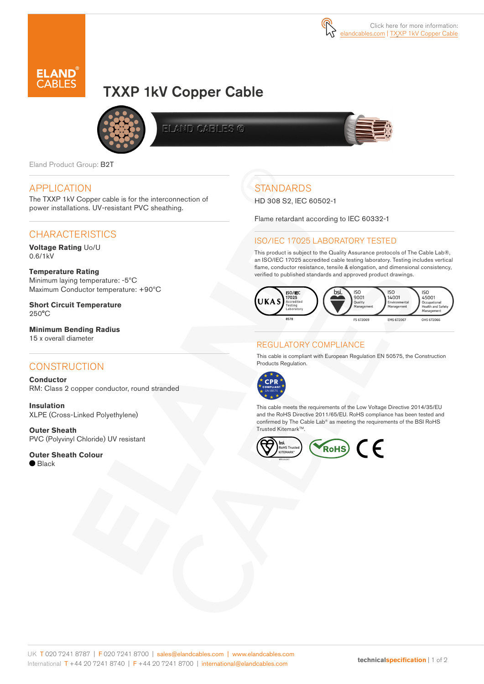

# TXXP 1kV Copper Cable



**ELAND CABLES G** 



Eland Product Group: B2T

### APPLICATION

The TXXP 1kV Copper cable is for the interconnection of power installations. UV-resistant PVC sheathing.

## **CHARACTERISTICS**

**Voltage Rating** Uo/U 0.6/1kV

#### **Temperature Rating**

Minimum laying temperature: -5ºC Maximum Conductor temperature: +90ºC

**Short Circuit Temperature**  250°C

**Minimum Bending Radius**  15 x overall diameter

### **CONSTRUCTION**

**Conductor** RM: Class 2 copper conductor, round stranded

**Insulation** XLPE (Cross-Linked Polyethylene)

**Outer Sheath**  PVC (Polyvinyl Chloride) UV resistant

**Outer Sheath Colour**

 $\bullet$  Black

# **STANDARDS**

HD 308 S2, IEC 60502-1

Flame retardant according to IEC 60332-1

#### ISO/IEC 17025 LABORATORY TESTED

This product is subject to the Quality Assurance protocols of The Cable Lab®, an ISO/IEC 17025 accredited cable testing laboratory. Testing includes vertical flame, conductor resistance, tensile & elongation, and dimensional consistency, verified to published standards and approved product drawings.



### REGULATORY COMPLIANCE

This cable is compliant with European Regulation EN 50575, the Construction Products Regulation.



This cable meets the requirements of the Low Voltage Directive 2014/35/EU and the RoHS Directive 2011/65/EU. RoHS compliance has been tested and confirmed by The Cable Lab® as meeting the requirements of the BSI RoHS Trusted Kitemark™.